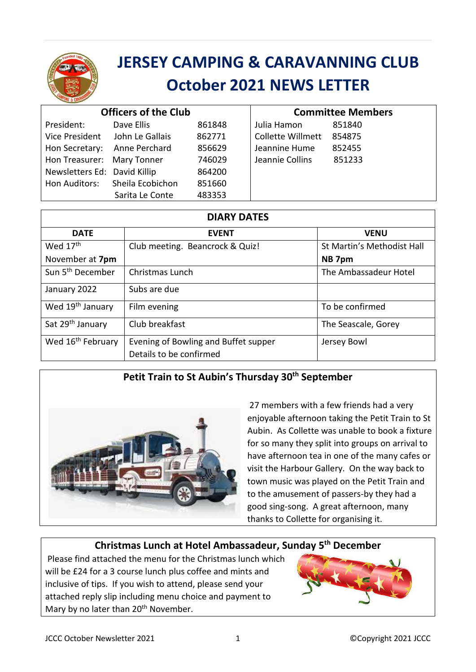

# **JERSEY CAMPING & CARAVANNING CLUB October 2021 NEWS LETTER**

| <b>Officers of the Club</b>  |                                |        | <b>Committee Members</b> |        |
|------------------------------|--------------------------------|--------|--------------------------|--------|
| President:                   | Dave Ellis                     | 861848 | Julia Hamon              | 851840 |
| Vice President               | John Le Gallais                | 862771 | <b>Collette Willmett</b> | 854875 |
| Hon Secretary:               | Anne Perchard                  | 856629 | Jeannine Hume            | 852455 |
| Hon Treasurer: Mary Tonner   |                                | 746029 | Jeannie Collins          | 851233 |
| Newsletters Ed: David Killip |                                | 864200 |                          |        |
|                              | Hon Auditors: Sheila Ecobichon | 851660 |                          |        |
|                              | Sarita Le Conte                | 483353 |                          |        |

| <b>DIARY DATES</b>            |                                                                 |                            |  |  |
|-------------------------------|-----------------------------------------------------------------|----------------------------|--|--|
| <b>DATE</b>                   | <b>EVENT</b>                                                    | <b>VENU</b>                |  |  |
| Wed 17 <sup>th</sup>          | Club meeting. Beancrock & Quiz!                                 | St Martin's Methodist Hall |  |  |
| November at 7pm               |                                                                 | NB 7pm                     |  |  |
| Sun 5 <sup>th</sup> December  | Christmas Lunch                                                 | The Ambassadeur Hotel      |  |  |
| January 2022                  | Subs are due                                                    |                            |  |  |
| Wed 19 <sup>th</sup> January  | Film evening                                                    | To be confirmed            |  |  |
| Sat 29 <sup>th</sup> January  | Club breakfast                                                  | The Seascale, Gorey        |  |  |
| Wed 16 <sup>th</sup> February | Evening of Bowling and Buffet supper<br>Details to be confirmed | Jersey Bowl                |  |  |

# **Petit Train to St Aubin's Thursday 30th September**



27 members with a few friends had a very enjoyable afternoon taking the Petit Train to St Aubin. As Collette was unable to book a fixture for so many they split into groups on arrival to have afternoon tea in one of the many cafes or visit the Harbour Gallery. On the way back to town music was played on the Petit Train and to the amusement of passers-by they had a good sing-song. A great afternoon, many thanks to Collette for organising it.

# **Christmas Lunch at Hotel Ambassadeur, Sunday 5 th December**

Please find attached the menu for the Christmas lunch which will be £24 for a 3 course lunch plus coffee and mints and inclusive of tips. If you wish to attend, please send your attached reply slip including menu choice and payment to Mary by no later than 20<sup>th</sup> November.

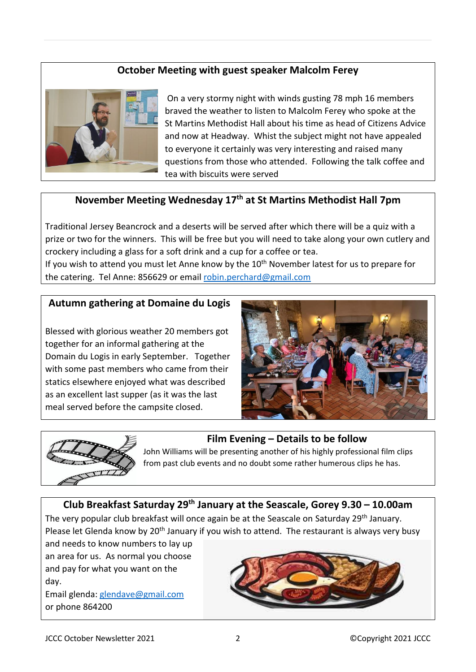## **October Meeting with guest speaker Malcolm Ferey**



On a very stormy night with winds gusting 78 mph 16 members braved the weather to listen to Malcolm Ferey who spoke at the St Martins Methodist Hall about his time as head of Citizens Advice and now at Headway. Whist the subject might not have appealed to everyone it certainly was very interesting and raised many questions from those who attended. Following the talk coffee and tea with biscuits were served

## **November Meeting Wednesday 17th at St Martins Methodist Hall 7pm**

Traditional Jersey Beancrock and a deserts will be served after which there will be a quiz with a prize or two for the winners. This will be free but you will need to take along your own cutlery and crockery including a glass for a soft drink and a cup for a coffee or tea.

If you wish to attend you must let Anne know by the  $10<sup>th</sup>$  November latest for us to prepare for the catering. Tel Anne: 856629 or email [robin.perchard@gmail.com](mailto:robin.perchard@gmail.com)

#### **Autumn gathering at Domaine du Logis**

Blessed with glorious weather 20 members got together for an informal gathering at the Domain du Logis in early September. Together with some past members who came from their statics elsewhere enjoyed what was described as an excellent last supper (as it was the last meal served before the campsite closed.





## **Film Evening – Details to be follow**

John Williams will be presenting another of his highly professional film clips from past club events and no doubt some rather humerous clips he has.

### **Club Breakfast Saturday 29th January at the Seascale, Gorey 9.30 – 10.00am** The very popular club breakfast will once again be at the Seascale on Saturday 29<sup>th</sup> January. Please let Glenda know by 20<sup>th</sup> January if you wish to attend. The restaurant is always very busy

and needs to know numbers to lay up an area for us. As normal you choose and pay for what you want on the day.

Email glenda: [glendave@gmail.com](mailto:glendave@gmail.com) or phone 864200

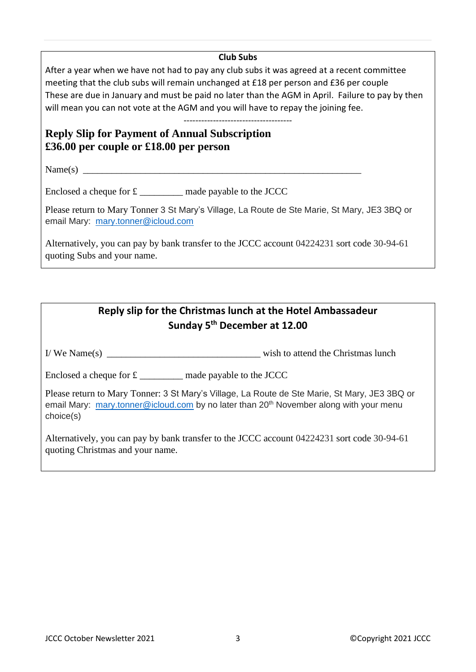#### **Club Subs**

After a year when we have not had to pay any club subs it was agreed at a recent committee meeting that the club subs will remain unchanged at £18 per person and £36 per couple These are due in January and must be paid no later than the AGM in April. Failure to pay by then will mean you can not vote at the AGM and you will have to repay the joining fee.

-------------------------------------

## **Reply Slip for Payment of Annual Subscription £36.00 per couple or £18.00 per person**

 $Name(s)$ 

Enclosed a cheque for  $\pounds$  made payable to the JCCC

Please return to Mary Tonner 3 St Mary's Village, La Route de Ste Marie, St Mary, JE3 3BQ or email Mary: [mary.tonner@icloud.com](mailto:mary.tonner@icloud.com)

Alternatively, you can pay by bank transfer to the JCCC account 04224231 sort code 30-94-61 quoting Subs and your name.

# **Reply slip for the Christmas lunch at the Hotel Ambassadeur Sunday 5 th December at 12.00**

I/ We Name(s) \_\_\_\_\_\_\_\_\_\_\_\_\_\_\_\_\_\_\_\_\_\_\_\_\_\_\_\_\_\_\_\_ wish to attend the Christmas lunch

Enclosed a cheque for £ \_\_\_\_\_\_\_\_\_ made payable to the JCCC

Please return to Mary Tonner: 3 St Mary's Village, La Route de Ste Marie, St Mary, JE3 3BQ or email Mary: [mary.tonner@icloud.com](mailto:mary.tonner@icloud.com) by no later than 20<sup>th</sup> November along with your menu choice(s)

Alternatively, you can pay by bank transfer to the JCCC account 04224231 sort code 30-94-61 quoting Christmas and your name.